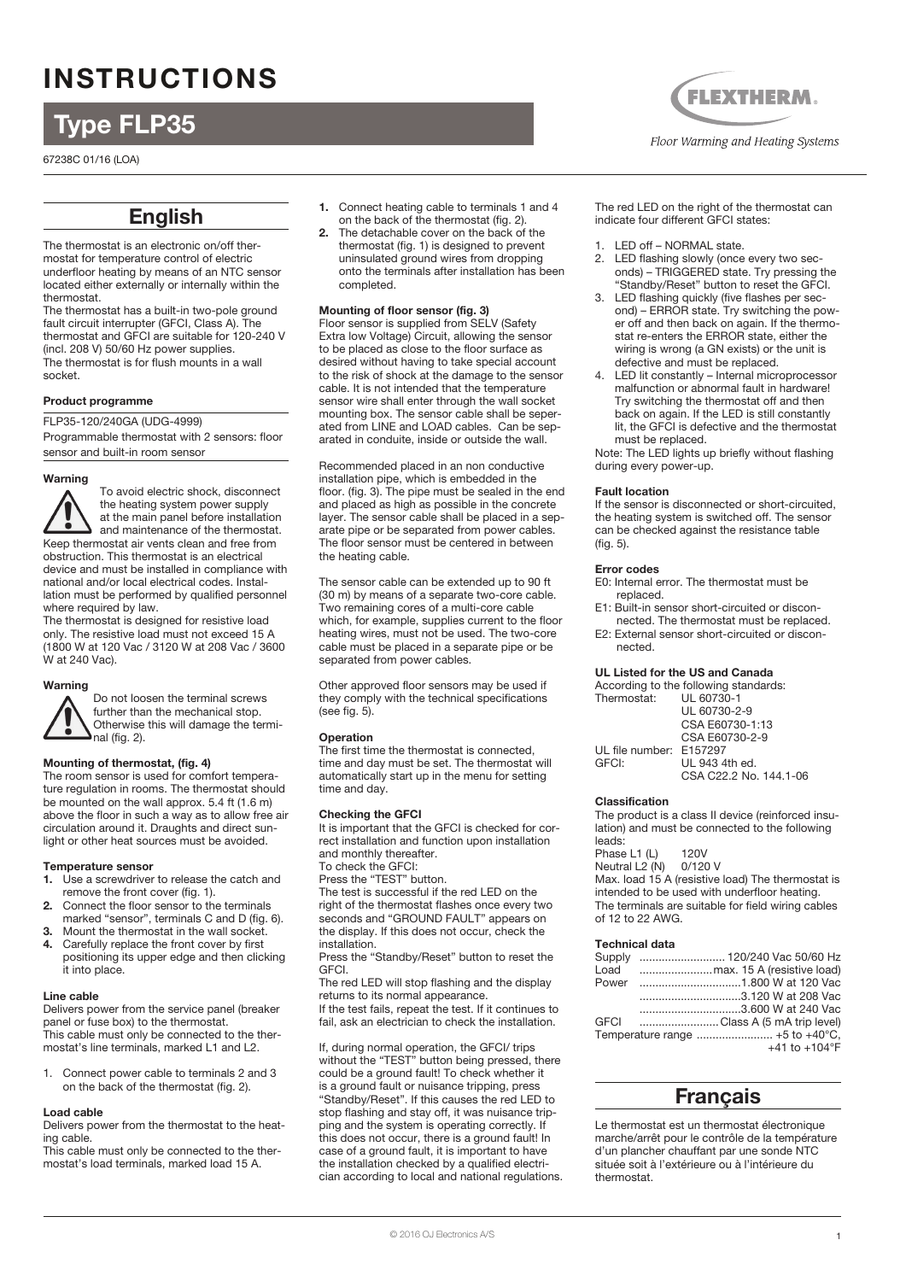# INSTRUCTIONS

# Type FLP35

67238C 01/16 (LOA)

## English

The thermostat is an electronic on/off thermostat for temperature control of electric underfloor heating by means of an NTC sensor located either externally or internally within the thermostat.

The thermostat has a built-in two-pole ground fault circuit interrupter (GFCI, Class A). The thermostat and GFCI are suitable for 120-240 V (incl. 208 V) 50/60 Hz power supplies. The thermostat is for flush mounts in a wall socket.

#### Product programme

FLP35-120/240GA (UDG-4999)

Programmable thermostat with 2 sensors: floor sensor and built-in room sensor

#### Warning



To avoid electric shock, disconnect the heating system power supply at the main panel before installation and maintenance of the thermostat. Keep thermostat air vents clean and free from obstruction. This thermostat is an electrical device and must be installed in compliance with national and/or local electrical codes. Installation must be performed by qualified personnel where required by law.

The thermostat is designed for resistive load only. The resistive load must not exceed 15 A (1800 W at 120 Vac / 3120 W at 208 Vac / 3600 W at 240 Vac).

### Warning



Do not loosen the terminal screws further than the mechanical stop. Otherwise this will damage the terminal (fig. 2).

#### Mounting of thermostat, (fig. 4)

The room sensor is used for comfort temperature regulation in rooms. The thermostat should be mounted on the wall approx. 5.4 ft (1.6 m) above the floor in such a way as to allow free air circulation around it. Draughts and direct sunlight or other heat sources must be avoided.

#### Temperature sensor

- **1.** Use a screwdriver to release the catch and remove the front cover (fig. 1).
- **2.** Connect the floor sensor to the terminals marked "sensor", terminals C and D (fig. 6).
- **3.** Mount the thermostat in the wall socket.<br>**4.** Carefully replace the front cover by first
- **4.** Carefully replace the front cover by first positioning its upper edge and then clicking it into place.

#### Line cable

Delivers power from the service panel (breaker panel or fuse box) to the thermostat. This cable must only be connected to the thermostat's line terminals, marked L1 and L2.

1. Connect power cable to terminals 2 and 3 on the back of the thermostat (fig. 2).

#### Load cable

Delivers power from the thermostat to the heating cable.

This cable must only be connected to the thermostat's load terminals, marked load 15 A.

- **1.** Connect heating cable to terminals 1 and 4 on the back of the thermostat (fig. 2).
- **2.** The detachable cover on the back of the thermostat (fig. 1) is designed to prevent uninsulated ground wires from dropping onto the terminals after installation has been completed.

#### Mounting of floor sensor (fig. 3)

Floor sensor is supplied from SELV (Safety Extra low Voltage) Circuit, allowing the sensor to be placed as close to the floor surface as desired without having to take special account to the risk of shock at the damage to the sensor cable. It is not intended that the temperature sensor wire shall enter through the wall socket mounting box. The sensor cable shall be seperated from LINE and LOAD cables. Can be separated in conduite, inside or outside the wall.

Recommended placed in an non conductive installation pipe, which is embedded in the floor. (fig. 3). The pipe must be sealed in the end and placed as high as possible in the concrete layer. The sensor cable shall be placed in a separate pipe or be separated from power cables. The floor sensor must be centered in between the heating cable.

The sensor cable can be extended up to 90 ft (30 m) by means of a separate two-core cable. Two remaining cores of a multi-core cable which, for example, supplies current to the floor heating wires, must not be used. The two-core cable must be placed in a separate pipe or be separated from power cables.

Other approved floor sensors may be used if they comply with the technical specifications (see fig. 5).

#### Operation

The first time the thermostat is connected, time and day must be set. The thermostat will automatically start up in the menu for setting time and day.

#### Checking the GFCI

It is important that the GFCI is checked for correct installation and function upon installation and monthly thereafter. To check the GFCI:

Press the "TEST" button.

The test is successful if the red LED on the right of the thermostat flashes once every two seconds and "GROUND FAULT" appears on the display. If this does not occur, check the installation.

Press the "Standby/Reset" button to reset the GFCI.

The red LED will stop flashing and the display returns to its normal appearance. If the test fails, repeat the test. If it continues to

fail, ask an electrician to check the installation.

If, during normal operation, the GFCI/ trips without the "TEST" button being pressed, there could be a ground fault! To check whether it is a ground fault or nuisance tripping, press "Standby/Reset". If this causes the red LED to stop flashing and stay off, it was nuisance tripping and the system is operating correctly. If this does not occur, there is a ground fault! In case of a ground fault, it is important to have the installation checked by a qualified electrician according to local and national regulations.

**FLEXTHERM.** Floor Warming and Heating Systems

The red LED on the right of the thermostat can indicate four different GFCI states:

- 1. LED off NORMAL state.
- 2. LED flashing slowly (once every two seconds) – TRIGGERED state. Try pressing the "Standby/Reset" button to reset the GFCI.
- 3. LED flashing quickly (five flashes per second) – ERROR state. Try switching the power off and then back on again. If the thermostat re-enters the ERROR state, either the wiring is wrong (a GN exists) or the unit is defective and must be replaced.
- LED lit constantly Internal microprocessor malfunction or abnormal fault in hardware! Try switching the thermostat off and then back on again. If the LED is still constantly lit, the GFCI is defective and the thermostat must be replaced.

Note: The LED lights up briefly without flashing during every power-up.

#### Fault location

If the sensor is disconnected or short-circuited, the heating system is switched off. The sensor can be checked against the resistance table (fig. 5).

#### Error codes

- E0: Internal error. The thermostat must be replaced.
- E1: Built-in sensor short-circuited or disconnected. The thermostat must be replaced. E2: External sensor short-circuited or discon-
- nected.

#### UL Listed for the US and Canada

| According to the following standards: |
|---------------------------------------|
| Thermostat: UL 60730-1                |
| UL 60730-2-9                          |
| CSA E60730-1:13                       |
| CSA E60730-2-9                        |
| UL file number: E157297               |
| UL 943 4th ed.                        |
| CSA C22.2 No. 144.1-06                |
|                                       |

#### Classification

The product is a class II device (reinforced insulation) and must be connected to the following leads:

Phase L1 (L) 120V<br>Neutral L2 (N) 0/120 V Neutral  $L2(n)$ Max. load 15 A (resistive load) The thermostat is intended to be used with underfloor heating. The terminals are suitable for field wiring cables of 12 to 22 AWG.

#### Technical data

| Supply      |                           |
|-------------|---------------------------|
| Load        |                           |
| Power       |                           |
|             |                           |
|             | 3.600 W at 240 Vac        |
| <b>GFCI</b> | Class A (5 mA trip level) |
|             |                           |
|             | +41 to +104 $^{\circ}$ F  |

### Français

Le thermostat est un thermostat électronique marche/arrêt pour le contrôle de la température d'un plancher chauffant par une sonde NTC située soit à l'extérieure ou à l'intérieure du thermostat.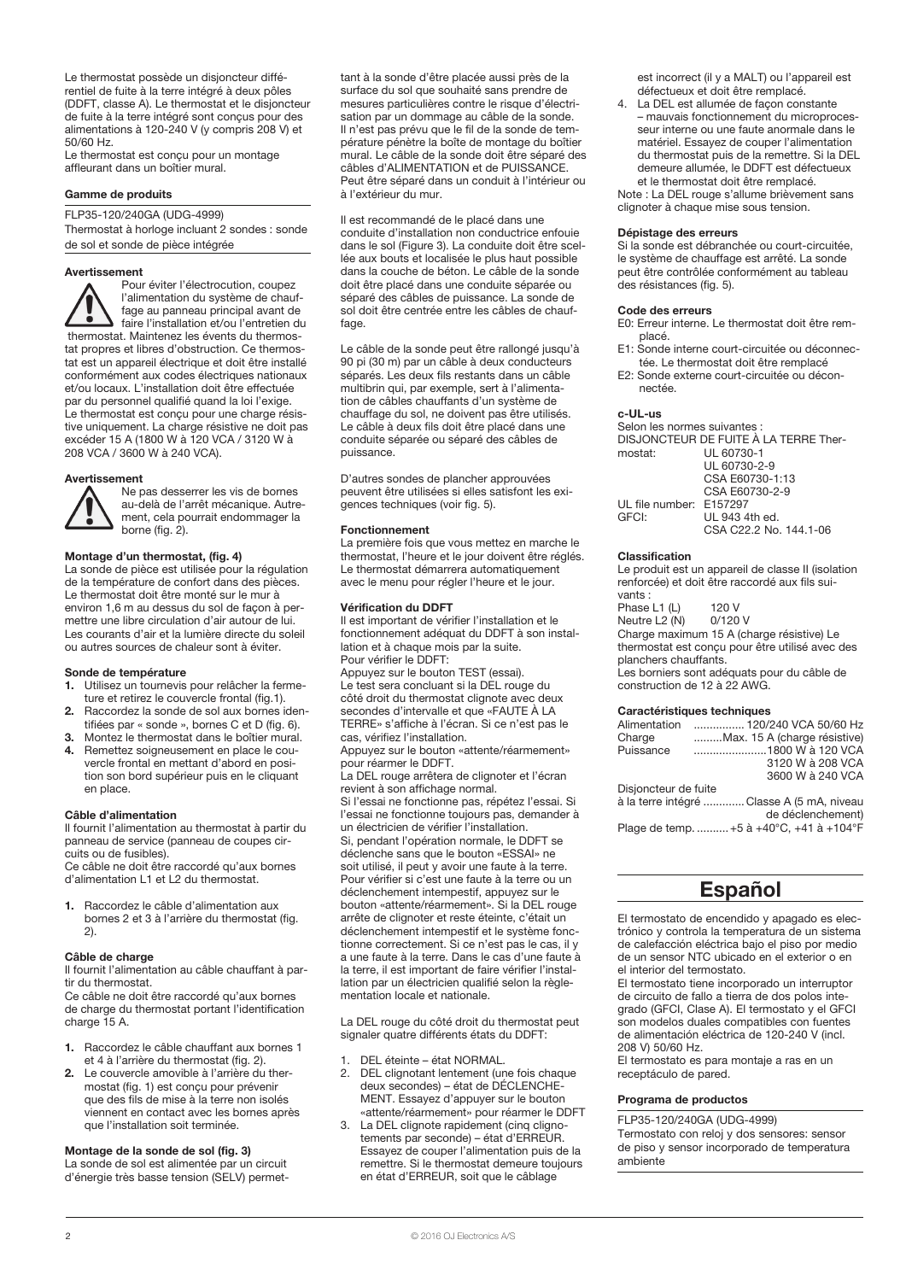Le thermostat possède un disjoncteur différentiel de fuite à la terre intégré à deux pôles (DDFT, classe A). Le thermostat et le disjoncteur de fuite à la terre intégré sont conçus pour des alimentations à 120-240 V (y compris 208 V) et 50/60 Hz.

Le thermostat est conçu pour un montage affleurant dans un boîtier mural.

#### Gamme de produits

FLP35-120/240GA (UDG-4999)

Thermostat à horloge incluant 2 sondes : sonde de sol et sonde de pièce intégrée

#### Avertissement

Pour éviter l'électrocution, coupez l'alimentation du système de chauffage au panneau principal avant de faire l'installation et/ou l'entretien du thermostat. Maintenez les évents du thermostat propres et libres d'obstruction. Ce thermostat est un appareil électrique et doit être installé conformément aux codes électriques nationaux et/ou locaux. L'installation doit être effectuée par du personnel qualifié quand la loi l'exige. Le thermostat est conçu pour une charge résistive uniquement. La charge résistive ne doit pas excéder 15 A (1800 W à 120 VCA / 3120 W à 208 VCA / 3600 W à 240 VCA).

#### Avertissement



Ne pas desserrer les vis de bornes au-delà de l'arrêt mécanique. Autrement, cela pourrait endommager la borne (fig. 2).

#### Montage d'un thermostat, (fig. 4)

La sonde de pièce est utilisée pour la régulation de la température de confort dans des pièces. Le thermostat doit être monté sur le mur à environ 1,6 m au dessus du sol de façon à permettre une libre circulation d'air autour de lui. Les courants d'air et la lumière directe du soleil ou autres sources de chaleur sont à éviter.

#### Sonde de température

- **1.** Utilisez un tournevis pour relâcher la fermeture et retirez le couvercle frontal (fig.1).
- **2.** Raccordez la sonde de sol aux bornes identifiées par « sonde », bornes C et D (fig. 6).
- **3.** Montez le thermostat dans le boîtier mural.<br>**4.** Bemettez soigneusement en place le cou-**4.** Remettez soigneusement en place le couvercle frontal en mettant d'abord en position son bord supérieur puis en le cliquant en place.

#### Câble d'alimentation

Il fournit l'alimentation au thermostat à partir du panneau de service (panneau de coupes circuits ou de fusibles).

Ce câble ne doit être raccordé qu'aux bornes d'alimentation L1 et L2 du thermostat.

**1.** Raccordez le câble d'alimentation aux bornes 2 et 3 à l'arrière du thermostat (fig. 2).

#### Câble de charge

Il fournit l'alimentation au câble chauffant à partir du thermostat.

Ce câble ne doit être raccordé qu'aux bornes de charge du thermostat portant l'identification charge 15 A.

- **1.** Raccordez le câble chauffant aux bornes 1 et 4 à l'arrière du thermostat (fig. 2).
- **2.** Le couvercle amovible à l'arrière du thermostat (fig. 1) est conçu pour prévenir que des fils de mise à la terre non isolés viennent en contact avec les bornes après que l'installation soit terminée.

#### Montage de la sonde de sol (fig. 3)

La sonde de sol est alimentée par un circuit d'énergie très basse tension (SELV) permet-

tant à la sonde d'être placée aussi près de la surface du sol que souhaité sans prendre de mesures particulières contre le risque d'électrisation par un dommage au câble de la sonde. Il n'est pas prévu que le fil de la sonde de température pénètre la boîte de montage du boîtier mural. Le câble de la sonde doit être séparé des câbles d'ALIMENTATION et de PUISSANCE. Peut être séparé dans un conduit à l'intérieur ou à l'extérieur du mur.

Il est recommandé de le placé dans une conduite d'installation non conductrice enfouie dans le sol (Figure 3). La conduite doit être scellée aux bouts et localisée le plus haut possible dans la couche de béton. Le câble de la sonde doit être placé dans une conduite séparée ou séparé des câbles de puissance. La sonde de sol doit être centrée entre les câbles de chauffage

Le câble de la sonde peut être rallongé jusqu'à 90 pi (30 m) par un câble à deux conducteurs séparés. Les deux fils restants dans un câble multibrin qui, par exemple, sert à l'alimentation de câbles chauffants d'un système de chauffage du sol, ne doivent pas être utilisés. Le câble à deux fils doit être placé dans une conduite séparée ou séparé des câbles de puissance.

D'autres sondes de plancher approuvées peuvent être utilisées si elles satisfont les exigences techniques (voir fig. 5).

#### Fonctionnement

La première fois que vous mettez en marche le thermostat, l'heure et le jour doivent être réglés. Le thermostat démarrera automatiquement avec le menu pour régler l'heure et le jour.

#### Vérification du DDFT

Il est important de vérifier l'installation et le fonctionnement adéquat du DDFT à son installation et à chaque mois par la suite. Pour vérifier le DDFT:

Appuyez sur le bouton TEST (essai). Le test sera concluant si la DEL rouge du côté droit du thermostat clignote avec deux secondes d'intervalle et que «FAUTE À LA TERRE» s'affiche à l'écran. Si ce n'est pas le cas, vérifiez l'installation.

Appuyez sur le bouton «attente/réarmement» pour réarmer le DDFT.

La DEL rouge arrêtera de clignoter et l'écran revient à son affichage normal.

Si l'essai ne fonctionne pas, répétez l'essai. Si l'essai ne fonctionne toujours pas, demander à un électricien de vérifier l'installation. Si, pendant l'opération normale, le DDFT se déclenche sans que le bouton «ESSAI» ne soit utilisé, il peut y avoir une faute à la terre. Pour vérifier si c'est une faute à la terre ou un déclenchement intempestif, appuyez sur le bouton «attente/réarmement». Si la DEL rouge arrête de clignoter et reste éteinte, c'était un déclenchement intempestif et le système fonctionne correctement. Si ce n'est pas le cas, il y a une faute à la terre. Dans le cas d'une faute à la terre, il est important de faire vérifier l'installation par un électricien qualifié selon la règlementation locale et nationale.

La DEL rouge du côté droit du thermostat peut signaler quatre différents états du DDFT:

- 1. DEL éteinte état NORMAL.
- 2. DEL clignotant lentement (une fois chaque deux secondes) – état de DÉCLENCHE-MENT. Essayez d'appuyer sur le bouton «attente/réarmement» pour réarmer le DDFT
- 3. La DEL clignote rapidement (cinq clignotements par seconde) – état d'ERREUR. Essayez de couper l'alimentation puis de la remettre. Si le thermostat demeure toujours en état d'ERREUR, soit que le câblage

est incorrect (il y a MALT) ou l'appareil est défectueux et doit être remplacé.

4. La DEL est allumée de façon constante – mauvais fonctionnement du microprocesseur interne ou une faute anormale dans le matériel. Essayez de couper l'alimentation du thermostat puis de la remettre. Si la DEL demeure allumée, le DDFT est défectueux et le thermostat doit être remplacé.

Note : La DEL rouge s'allume brièvement sans clignoter à chaque mise sous tension.

#### Dépistage des erreurs

Si la sonde est débranchée ou court-circuitée, le système de chauffage est arrêté. La sonde peut être contrôlée conformément au tableau des résistances (fig. 5).

#### Code des erreurs

- E0: Erreur interne. Le thermostat doit être remplacé.
- Sonde interne court-circuitée ou déconnectée. Le thermostat doit être remplacé
- E2: Sonde externe court-circuitée ou déconnectée.

#### c-UL-us

Selon les normes suivantes : DISJONCTEUR DE FUITE À LA TERRE Thermostat

|                         | <u>UL UUI UUT I</u>    |
|-------------------------|------------------------|
|                         | UL 60730-2-9           |
|                         | CSA E60730-1:13        |
|                         | CSA E60730-2-9         |
| UL file number: E157297 |                        |
| GFCI:                   | UL 943 4th ed.         |
|                         | CSA C22.2 No. 144.1-06 |

#### Classification

Le produit est un appareil de classe II (isolation renforcée) et doit être raccordé aux fils suivants :

Phase L1 (L) 120 V<br>Neutre L2 (N) 0/120 V Neutre  $L2(N)$ Charge maximum 15 A (charge résistive) Le thermostat est conçu pour être utilisé avec des

planchers chauffants. Les borniers sont adéquats pour du câble de construction de 12 à 22 AWG.

#### Caractéristiques techniques

| Alimentation         | 120/240 VCA 50/60 Hz                       |
|----------------------|--------------------------------------------|
| Charge               | Max. 15 A (charge résistive)               |
| Puissance            | 1800 W à 120 VCA                           |
|                      | 3120 W à 208 VCA                           |
|                      | 3600 W à 240 VCA                           |
| Disjoncteur de fuite |                                            |
|                      | à la terre intégré  Classe A (5 mA, niveau |
|                      | de déclenchement)                          |
|                      | Plage de temp.  +5 à +40°C, +41 à +104°F   |
|                      |                                            |

### Español

El termostato de encendido y apagado es electrónico y controla la temperatura de un sistema de calefacción eléctrica bajo el piso por medio de un sensor NTC ubicado en el exterior o en el interior del termostato.

El termostato tiene incorporado un interruptor de circuito de fallo a tierra de dos polos integrado (GFCI, Clase A). El termostato y el GFCI son modelos duales compatibles con fuentes de alimentación eléctrica de 120-240 V (incl. 208 V) 50/60 Hz.

El termostato es para montaje a ras en un receptáculo de pared.

#### Programa de productos

FLP35-120/240GA (UDG-4999)

Termostato con reloj y dos sensores: sensor de piso y sensor incorporado de temperatura ambiente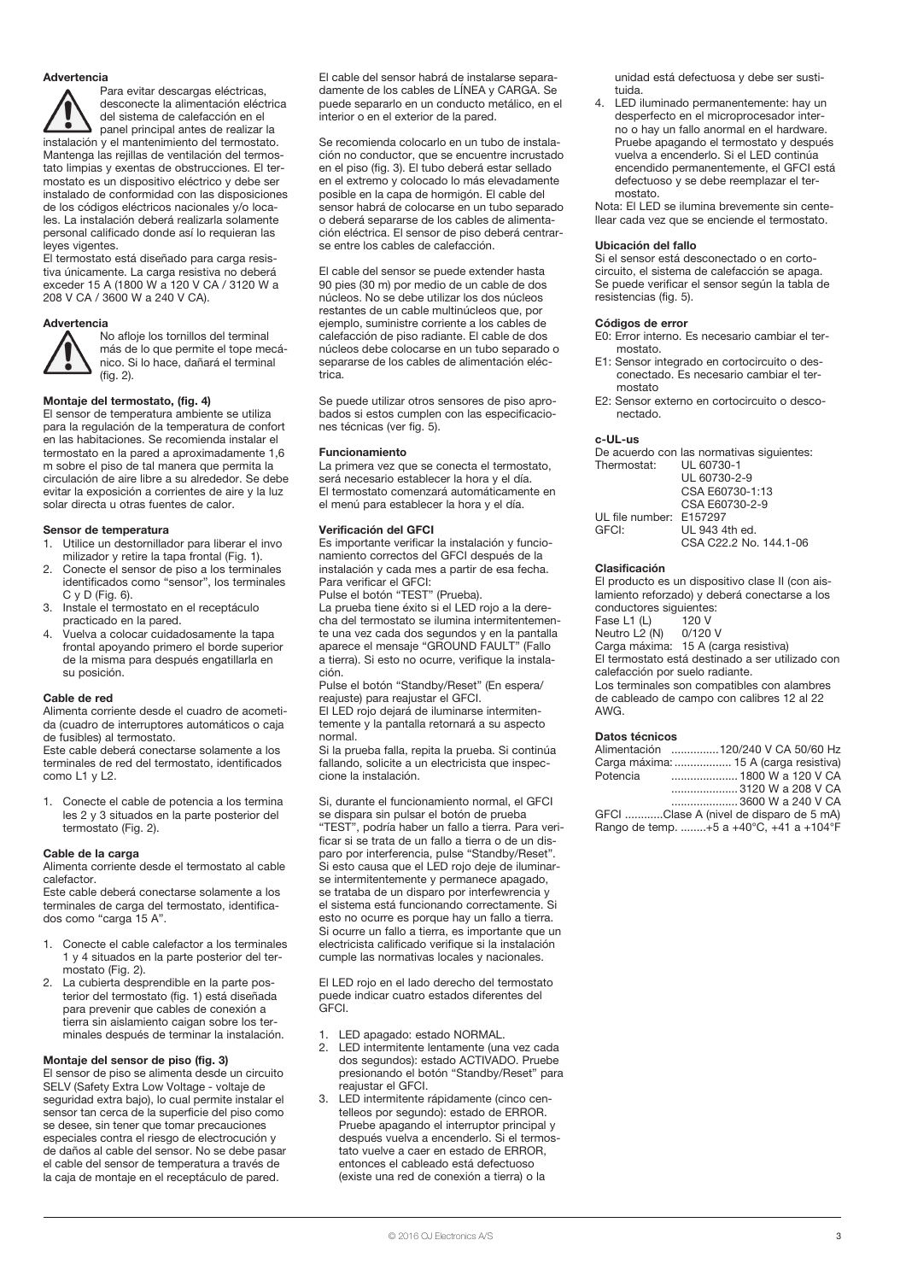#### Advertencia

Para evitar descargas eléctricas, desconecte la alimentación eléctrica del sistema de calefacción en el panel principal antes de realizar la instalación y el mantenimiento del termostato. Mantenga las rejillas de ventilación del termostato limpias y exentas de obstrucciones. El termostato es un dispositivo eléctrico y debe ser instalado de conformidad con las disposiciones de los códigos eléctricos nacionales y/o locales. La instalación deberá realizarla solamente personal calificado donde así lo requieran las leyes vigentes.

El termostato está diseñado para carga resistiva únicamente. La carga resistiva no deberá exceder 15 A (1800 W a 120 V CA / 3120 W a 208 V CA / 3600 W a 240 V CA).

### Advertencia



No afloje los tornillos del terminal más de lo que permite el tope mecánico. Si lo hace, dañará el terminal (fig. 2).

#### Montaje del termostato, (fig. 4)

El sensor de temperatura ambiente se utiliza para la regulación de la temperatura de confort en las habitaciones. Se recomienda instalar el termostato en la pared a aproximadamente 1,6 m sobre el piso de tal manera que permita la circulación de aire libre a su alrededor. Se debe evitar la exposición a corrientes de aire y la luz solar directa u otras fuentes de calor.

#### Sensor de temperatura

- 1. Utilice un destornillador para liberar el invo milizador y retire la tapa frontal (Fig. 1).
- 2. Conecte el sensor de piso a los terminales identificados como "sensor", los terminales  $C \vee D$  (Fig. 6).
- 3. Instale el termostato en el receptáculo practicado en la pared.
- 4. Vuelva a colocar cuidadosamente la tapa frontal apoyando primero el borde superior de la misma para después engatillarla en su posición.

#### Cable de red

Alimenta corriente desde el cuadro de acometida (cuadro de interruptores automáticos o caja de fusibles) al termostato.

Este cable deberá conectarse solamente a los terminales de red del termostato, identificados como L1 y L2.

1. Conecte el cable de potencia a los termina les 2 y 3 situados en la parte posterior del termostato (Fig. 2).

#### Cable de la carga

Alimenta corriente desde el termostato al cable calefactor.

Este cable deberá conectarse solamente a los terminales de carga del termostato, identificados como "carga 15 A".

- 1. Conecte el cable calefactor a los terminales 1 y 4 situados en la parte posterior del termostato (Fig. 2).
- 2. La cubierta desprendible en la parte posterior del termostato (fig. 1) está diseñada para prevenir que cables de conexión a tierra sin aislamiento caigan sobre los terminales después de terminar la instalación.

#### Montaje del sensor de piso (fig. 3)

El sensor de piso se alimenta desde un circuito SELV (Safety Extra Low Voltage - voltaje de seguridad extra bajo), lo cual permite instalar el sensor tan cerca de la superficie del piso como se desee, sin tener que tomar precauciones especiales contra el riesgo de electrocución y de daños al cable del sensor. No se debe pasar el cable del sensor de temperatura a través de la caja de montaje en el receptáculo de pared.

El cable del sensor habrá de instalarse separadamente de los cables de LÍNEA y CARGA. Se puede separarlo en un conducto metálico, en el interior o en el exterior de la pared.

Se recomienda colocarlo en un tubo de instalación no conductor, que se encuentre incrustado en el piso (fig. 3). El tubo deberá estar sellado en el extremo y colocado lo más elevadamente posible en la capa de hormigón. El cable del sensor habrá de colocarse en un tubo separado o deberá separarse de los cables de alimentación eléctrica. El sensor de piso deberá centrarse entre los cables de calefacción.

El cable del sensor se puede extender hasta 90 pies (30 m) por medio de un cable de dos núcleos. No se debe utilizar los dos núcleos restantes de un cable multinúcleos que, por ejemplo, suministre corriente a los cables de calefacción de piso radiante. El cable de dos núcleos debe colocarse en un tubo separado o separarse de los cables de alimentación eléctrica.

Se puede utilizar otros sensores de piso aprobados si estos cumplen con las especificaciones técnicas (ver fig. 5).

#### Funcionamiento

La primera vez que se conecta el termostato, será necesario establecer la hora y el día. El termostato comenzará automáticamente en el menú para establecer la hora y el día.

#### Verificación del GFCI

Es importante verificar la instalación y funcionamiento correctos del GFCI después de la instalación y cada mes a partir de esa fecha. Para verificar el GFCI:

Pulse el botón "TEST" (Prueba).

La prueba tiene éxito si el LED rojo a la derecha del termostato se ilumina intermitentemente una vez cada dos segundos y en la pantalla aparece el mensaje "GROUND FAULT" (Fallo a tierra). Si esto no ocurre, verifique la instalación.

Pulse el botón "Standby/Reset" (En espera/ reajuste) para reajustar el GFCI.

El LED rojo dejará de iluminarse intermitentemente y la pantalla retornará a su aspecto normal.

Si la prueba falla, repita la prueba. Si continúa fallando, solicite a un electricista que inspeccione la instalación.

Si, durante el funcionamiento normal, el GFCI se dispara sin pulsar el botón de prueba "TEST", podría haber un fallo a tierra. Para verificar si se trata de un fallo a tierra o de un disparo por interferencia, pulse "Standby/Reset". Si esto causa que el LED rojo deje de iluminarse intermitentemente y permanece apagado, se trataba de un disparo por interfewrencia y el sistema está funcionando correctamente. Si esto no ocurre es porque hay un fallo a tierra. Si ocurre un fallo a tierra, es importante que un electricista calificado verifique si la instalación cumple las normativas locales y nacionales.

El LED rojo en el lado derecho del termostato puede indicar cuatro estados diferentes del GFCI.

- 1. LED apagado: estado NORMAL.
- 2. LED intermitente lentamente (una vez cada dos segundos): estado ACTIVADO. Pruebe presionando el botón "Standby/Reset" para reajustar el GFCI.
- 3. LED intermitente rápidamente (cinco centelleos por segundo): estado de ERROR. Pruebe apagando el interruptor principal y después vuelva a encenderlo. Si el termostato vuelve a caer en estado de ERROR, entonces el cableado está defectuoso (existe una red de conexión a tierra) o la

unidad está defectuosa y debe ser sustituida.

4. LED iluminado permanentemente: hay un desperfecto en el microprocesador interno o hay un fallo anormal en el hardware. Pruebe apagando el termostato y después vuelva a encenderlo. Si el LED continúa encendido permanentemente, el GFCI está defectuoso y se debe reemplazar el termostato.

Nota: El LED se ilumina brevemente sin centellear cada vez que se enciende el termostato.

#### Ubicación del fallo

Si el sensor está desconectado o en cortocircuito, el sistema de calefacción se apaga. Se puede verificar el sensor según la tabla de resistencias (fig. 5).

#### Códigos de error

- E0: Error interno. Es necesario cambiar el termostato.
- E1: Sensor integrado en cortocircuito o desconectado. Es necesario cambiar el termostato
- E2: Sensor externo en cortocircuito o desconectado.

#### c-UL-us

De acuerdo con las normativas siguientes:<br>Thermostat: UL 60730-1 Thermostat:

|                         | UL 60730-2-9              |
|-------------------------|---------------------------|
|                         | CSA E60730-1:13           |
|                         | CSA E60730-2-9            |
| UL file number: E157297 |                           |
| GFCI:                   | UL 943 4th ed.            |
|                         | $CCA$ $CODO$ $NIA$ $1111$ |

### CSA C22.2 No. 144.1-06

#### Clasificación

El producto es un dispositivo clase II (con aislamiento reforzado) y deberá conectarse a los conductores siguientes:

Fase L1 (L) 120 V Neutro L2 (N) 0/120 V Carga máxima: 15 A (carga resistiva)

El termostato está destinado a ser utilizado con calefacción por suelo radiante. Los terminales son compatibles con alambres

de cableado de campo con calibres 12 al 22 AWG.

#### Datos técnicos

| Alimentación 120/240 V CA 50/60 Hz      |
|-----------------------------------------|
| Carga máxima:  15 A (carga resistiva)   |
| Potencia  1800 W a 120 V CA             |
|                                         |
| 3600 W a 240 V CA                       |
| GFCI Clase A (nivel de disparo de 5 mA) |
| Rango de temp. +5 a +40°C, +41 a +104°F |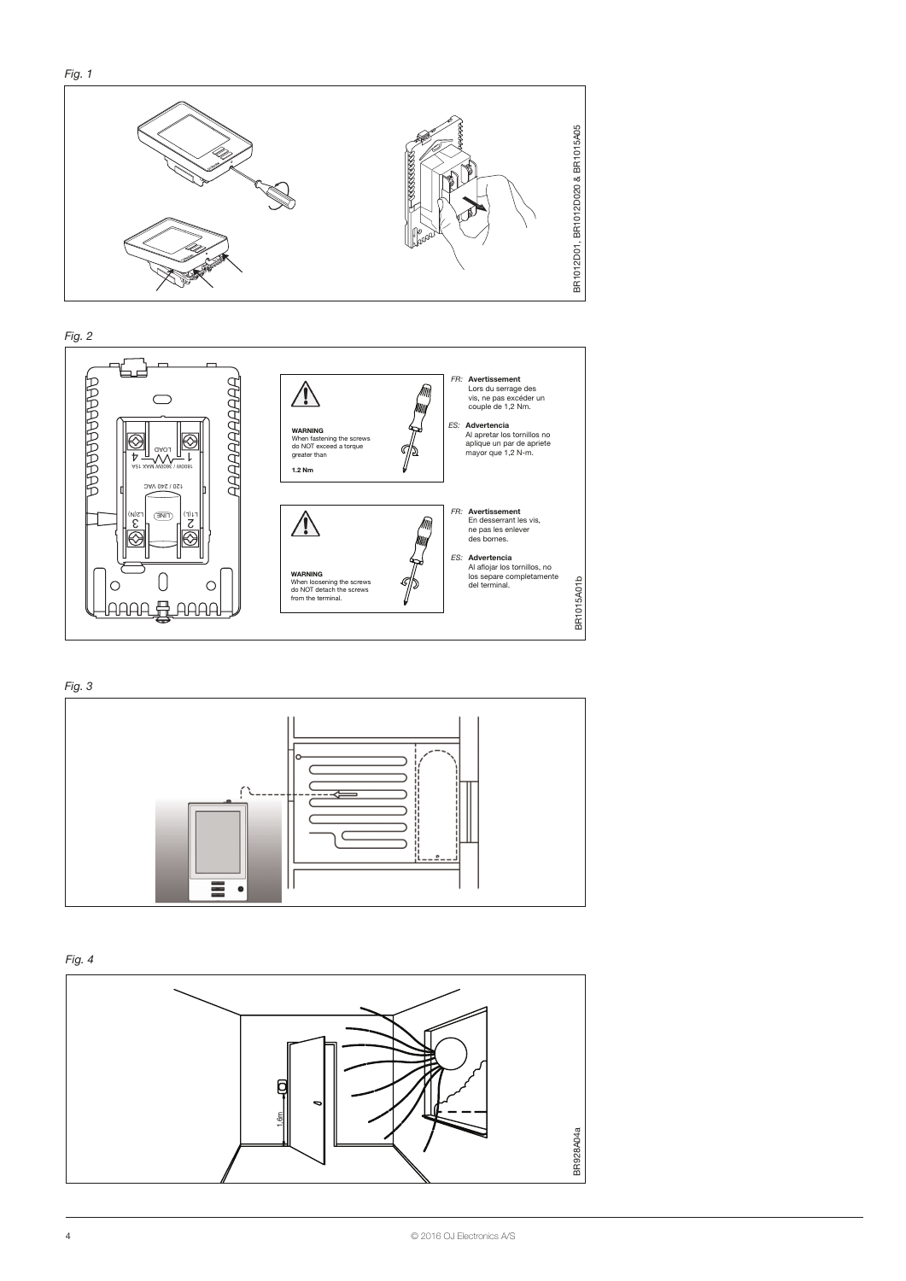





Fig. 4

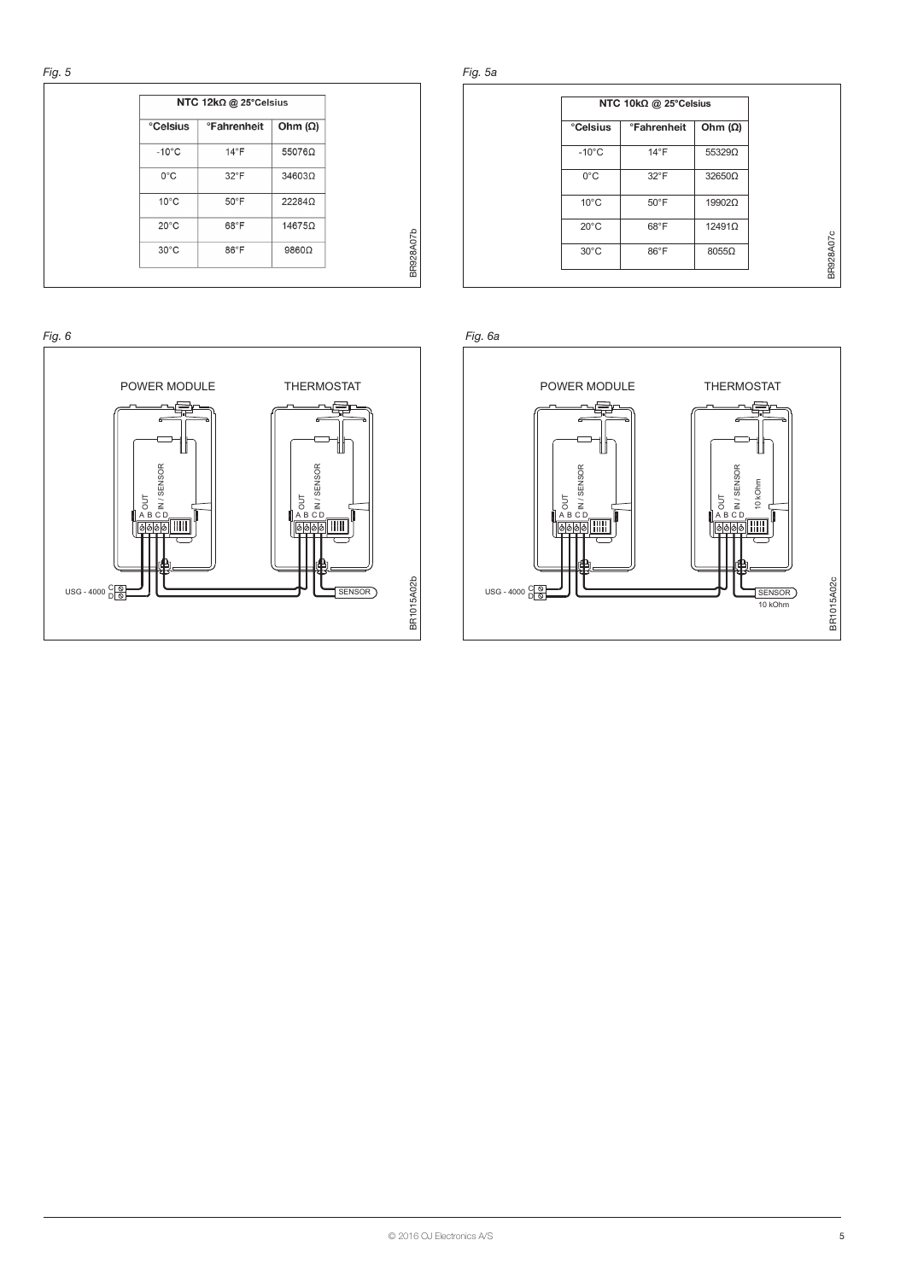| NTC 12kΩ @ 25°Celsius |                                  |                |
|-----------------------|----------------------------------|----------------|
| <b>Celsius</b>        | <b><i><u></u></i></b> Fahrenheit | Ohm $(\Omega)$ |
| $-10^{\circ}$ C       | $14^{\circ}$ F                   | 55076Ω         |
| $0^{\circ}$ C         | $32^{\circ}$ F                   | 34603Ω         |
| $10^{\circ}$ C        | $50^{\circ}$ F                   | 22284Ω         |
| $20^{\circ}$ C        | 68°F                             | 14675Ω         |
| $30^{\circ}$ C        | $86^{\circ}$ F                   | 9860Ω          |



Fig. 5a

| NTC 10kΩ @ 25°Celsius |                                  |                |
|-----------------------|----------------------------------|----------------|
| <b>Celsius</b>        | <b><i><u>•Fahrenheit</u></i></b> | Ohm $(\Omega)$ |
| $-10^{\circ}$ C       | $14^{\circ}$ F                   | $55329\Omega$  |
| $0^{\circ}$ C         | $32^{\circ}$ F                   | $32650\Omega$  |
| $10^{\circ}$ C        | $50^{\circ}$ F                   | 19902Ω         |
| $20^{\circ}$ C        | $68^{\circ}$ F                   | 12491Ω         |
| $30^{\circ}$ C        | 86°F                             | 8055Ω          |